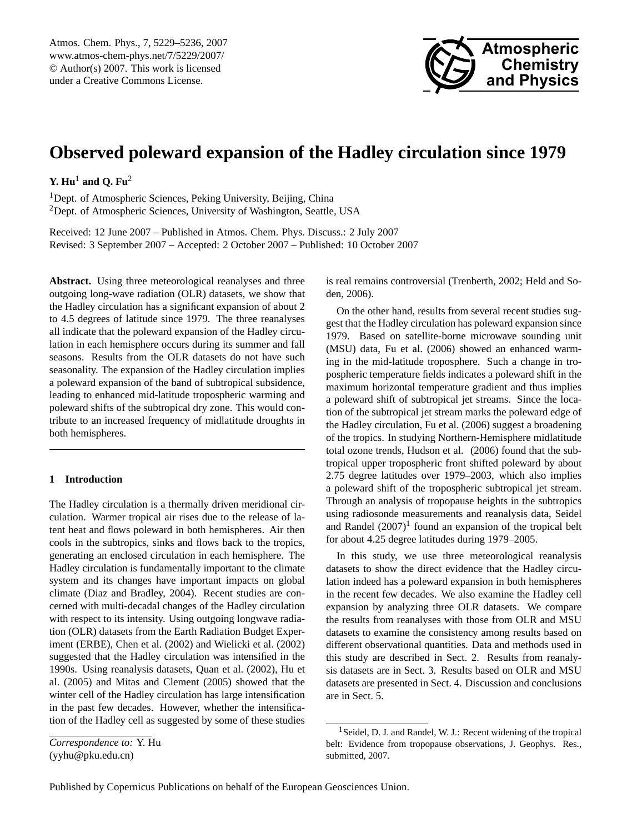

# <span id="page-0-1"></span>**Observed poleward expansion of the Hadley circulation since 1979**

## **Y.** Hu<sup>1</sup> and Q. Fu<sup>2</sup>

<sup>1</sup>Dept. of Atmospheric Sciences, Peking University, Beijing, China <sup>2</sup>Dept. of Atmospheric Sciences, University of Washington, Seattle, USA

Received: 12 June 2007 – Published in Atmos. Chem. Phys. Discuss.: 2 July 2007 Revised: 3 September 2007 – Accepted: 2 October 2007 – Published: 10 October 2007

**Abstract.** Using three meteorological reanalyses and three outgoing long-wave radiation (OLR) datasets, we show that the Hadley circulation has a significant expansion of about 2 to 4.5 degrees of latitude since 1979. The three reanalyses all indicate that the poleward expansion of the Hadley circulation in each hemisphere occurs during its summer and fall seasons. Results from the OLR datasets do not have such seasonality. The expansion of the Hadley circulation implies a poleward expansion of the band of subtropical subsidence, leading to enhanced mid-latitude tropospheric warming and poleward shifts of the subtropical dry zone. This would contribute to an increased frequency of midlatitude droughts in both hemispheres.

## **1 Introduction**

The Hadley circulation is a thermally driven meridional circulation. Warmer tropical air rises due to the release of latent heat and flows poleward in both hemispheres. Air then cools in the subtropics, sinks and flows back to the tropics, generating an enclosed circulation in each hemisphere. The Hadley circulation is fundamentally important to the climate system and its changes have important impacts on global climate (Diaz and Bradley, 2004). Recent studies are concerned with multi-decadal changes of the Hadley circulation with respect to its intensity. Using outgoing longwave radiation (OLR) datasets from the Earth Radiation Budget Experiment (ERBE), Chen et al. (2002) and Wielicki et al. (2002) suggested that the Hadley circulation was intensified in the 1990s. Using reanalysis datasets, Quan et al. (2002), Hu et al. (2005) and Mitas and Clement (2005) showed that the winter cell of the Hadley circulation has large intensification in the past few decades. However, whether the intensification of the Hadley cell as suggested by some of these studies

*Correspondence to:* Y. Hu (yyhu@pku.edu.cn)

is real remains controversial (Trenberth, 2002; Held and Soden, 2006).

On the other hand, results from several recent studies suggest that the Hadley circulation has poleward expansion since 1979. Based on satellite-borne microwave sounding unit (MSU) data, Fu et al. (2006) showed an enhanced warming in the mid-latitude troposphere. Such a change in tropospheric temperature fields indicates a poleward shift in the maximum horizontal temperature gradient and thus implies a poleward shift of subtropical jet streams. Since the location of the subtropical jet stream marks the poleward edge of the Hadley circulation, Fu et al. (2006) suggest a broadening of the tropics. In studying Northern-Hemisphere midlatitude total ozone trends, Hudson et al. (2006) found that the subtropical upper tropospheric front shifted poleward by about 2.75 degree latitudes over 1979–2003, which also implies a poleward shift of the tropospheric subtropical jet stream. Through an analysis of tropopause heights in the subtropics using radiosonde measurements and reanalysis data, Seidel and Randel  $(2007)^1$  $(2007)^1$  found an expansion of the tropical belt for about 4.25 degree latitudes during 1979–2005.

In this study, we use three meteorological reanalysis datasets to show the direct evidence that the Hadley circulation indeed has a poleward expansion in both hemispheres in the recent few decades. We also examine the Hadley cell expansion by analyzing three OLR datasets. We compare the results from reanalyses with those from OLR and MSU datasets to examine the consistency among results based on different observational quantities. Data and methods used in this study are described in Sect. 2. Results from reanalysis datasets are in Sect. 3. Results based on OLR and MSU datasets are presented in Sect. 4. Discussion and conclusions are in Sect. 5.

<span id="page-0-0"></span><sup>1</sup>Seidel, D. J. and Randel, W. J.: Recent widening of the tropical belt: Evidence from tropopause observations, J. Geophys. Res., submitted, 2007.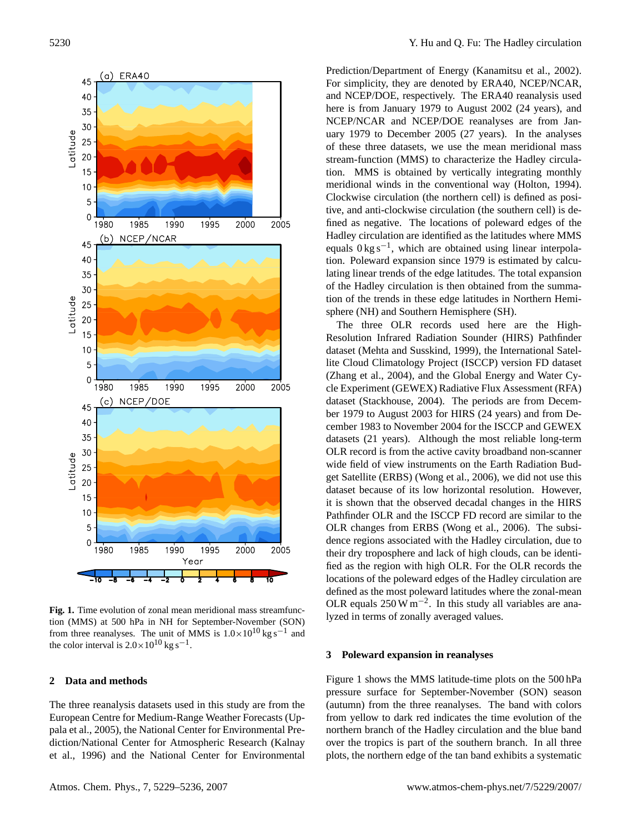

**Fig. 1.** Time evolution of zonal mean meridional mass streamfunction (MMS) at 500 hPa in NH for September-November (SON) from three reanalyses. The unit of MMS is  $1.0 \times 10^{10}$  kg s<sup>-1</sup> and the color interval is  $2.0 \times 10^{10}$  kg s<sup>-1</sup>.

### **2 Data and methods**

The three reanalysis datasets used in this study are from the European Centre for Medium-Range Weather Forecasts (Uppala et al., 2005), the National Center for Environmental Prediction/National Center for Atmospheric Research (Kalnay et al., 1996) and the National Center for Environmental

Prediction/Department of Energy (Kanamitsu et al., 2002). For simplicity, they are denoted by ERA40, NCEP/NCAR, and NCEP/DOE, respectively. The ERA40 reanalysis used here is from January 1979 to August 2002 (24 years), and NCEP/NCAR and NCEP/DOE reanalyses are from January 1979 to December 2005 (27 years). In the analyses of these three datasets, we use the mean meridional mass stream-function (MMS) to characterize the Hadley circulation. MMS is obtained by vertically integrating monthly meridional winds in the conventional way (Holton, 1994). Clockwise circulation (the northern cell) is defined as positive, and anti-clockwise circulation (the southern cell) is defined as negative. The locations of poleward edges of the Hadley circulation are identified as the latitudes where MMS equals 0 kg s−<sup>1</sup> , which are obtained using linear interpolation. Poleward expansion since 1979 is estimated by calculating linear trends of the edge latitudes. The total expansion of the Hadley circulation is then obtained from the summation of the trends in these edge latitudes in Northern Hemisphere (NH) and Southern Hemisphere (SH).

The three OLR records used here are the High-Resolution Infrared Radiation Sounder (HIRS) Pathfinder dataset (Mehta and Susskind, 1999), the International Satellite Cloud Climatology Project (ISCCP) version FD dataset (Zhang et al., 2004), and the Global Energy and Water Cycle Experiment (GEWEX) Radiative Flux Assessment (RFA) dataset (Stackhouse, 2004). The periods are from December 1979 to August 2003 for HIRS (24 years) and from December 1983 to November 2004 for the ISCCP and GEWEX datasets (21 years). Although the most reliable long-term OLR record is from the active cavity broadband non-scanner wide field of view instruments on the Earth Radiation Budget Satellite (ERBS) (Wong et al., 2006), we did not use this dataset because of its low horizontal resolution. However, it is shown that the observed decadal changes in the HIRS Pathfinder OLR and the ISCCP FD record are similar to the OLR changes from ERBS (Wong et al., 2006). The subsidence regions associated with the Hadley circulation, due to their dry troposphere and lack of high clouds, can be identified as the region with high OLR. For the OLR records the locations of the poleward edges of the Hadley circulation are defined as the most poleward latitudes where the zonal-mean OLR equals  $250 \,\mathrm{W\,m^{-2}}$ . In this study all variables are analyzed in terms of zonally averaged values.

#### **3 Poleward expansion in reanalyses**

Figure 1 shows the MMS latitude-time plots on the 500 hPa pressure surface for September-November (SON) season (autumn) from the three reanalyses. The band with colors from yellow to dark red indicates the time evolution of the northern branch of the Hadley circulation and the blue band over the tropics is part of the southern branch. In all three plots, the northern edge of the tan band exhibits a systematic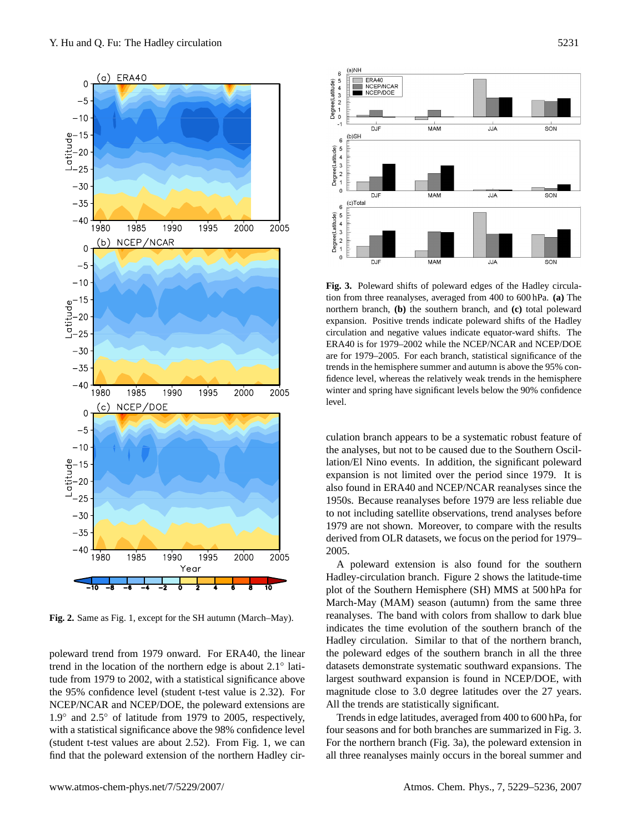

**Fig. 2.** Same as Fig. 1, except for the SH autumn (March–May).

poleward trend from 1979 onward. For ERA40, the linear trend in the location of the northern edge is about 2.1<sup>°</sup> latitude from 1979 to 2002, with a statistical significance above the 95% confidence level (student t-test value is 2.32). For NCEP/NCAR and NCEP/DOE, the poleward extensions are 1.9◦ and 2.5◦ of latitude from 1979 to 2005, respectively, with a statistical significance above the 98% confidence level (student t-test values are about 2.52). From Fig. 1, we can find that the poleward extension of the northern Hadley cir-





**Fig. 3.** Poleward shifts of poleward edges of the Hadley circulation from three reanalyses, averaged from 400 to 600 hPa. **(a)** The northern branch, **(b)** the southern branch, and **(c)** total poleward expansion. Positive trends indicate poleward shifts of the Hadley circulation and negative values indicate equator-ward shifts. The ERA40 is for 1979–2002 while the NCEP/NCAR and NCEP/DOE are for 1979–2005. For each branch, statistical significance of the trends in the hemisphere summer and autumn is above the 95% confidence level, whereas the relatively weak trends in the hemisphere winter and spring have significant levels below the 90% confidence level.

culation branch appears to be a systematic robust feature of the analyses, but not to be caused due to the Southern Oscillation/El Nino events. In addition, the significant poleward expansion is not limited over the period since 1979. It is also found in ERA40 and NCEP/NCAR reanalyses since the 1950s. Because reanalyses before 1979 are less reliable due to not including satellite observations, trend analyses before 1979 are not shown. Moreover, to compare with the results derived from OLR datasets, we focus on the period for 1979– 2005.

A poleward extension is also found for the southern Hadley-circulation branch. Figure 2 shows the latitude-time plot of the Southern Hemisphere (SH) MMS at 500 hPa for March-May (MAM) season (autumn) from the same three reanalyses. The band with colors from shallow to dark blue indicates the time evolution of the southern branch of the Hadley circulation. Similar to that of the northern branch, the poleward edges of the southern branch in all the three datasets demonstrate systematic southward expansions. The largest southward expansion is found in NCEP/DOE, with magnitude close to 3.0 degree latitudes over the 27 years. All the trends are statistically significant.

Trends in edge latitudes, averaged from 400 to 600 hPa, for four seasons and for both branches are summarized in Fig. 3. For the northern branch (Fig. 3a), the poleward extension in all three reanalyses mainly occurs in the boreal summer and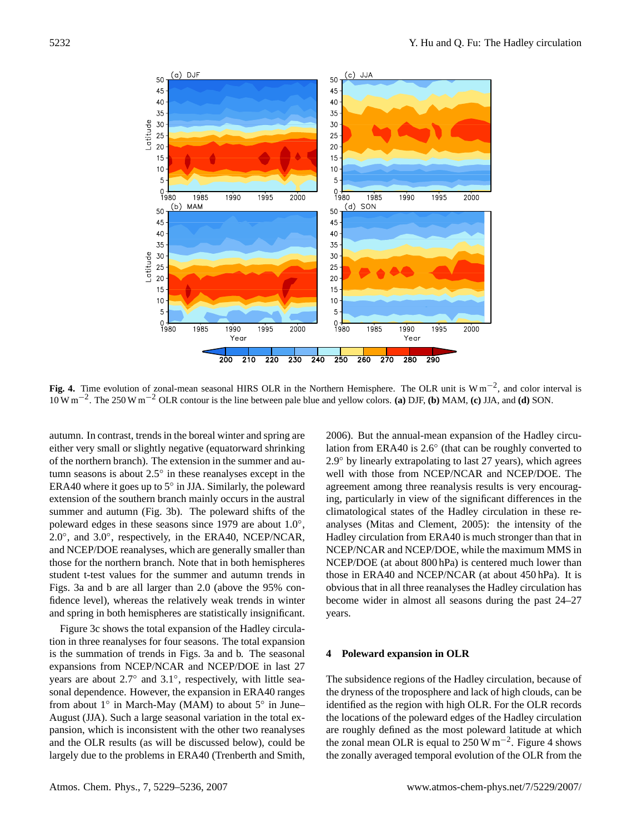

**Fig. 4.** Time evolution of zonal-mean seasonal HIRS OLR in the Northern Hemisphere. The OLR unit is W m−<sup>2</sup> , and color interval is 10 W m−<sup>2</sup> . The 250 W m−<sup>2</sup> OLR contour is the line between pale blue and yellow colors. **(a)** DJF, **(b)** MAM, **(c)** JJA, and **(d)** SON.

autumn. In contrast, trends in the boreal winter and spring are either very small or slightly negative (equatorward shrinking of the northern branch). The extension in the summer and autumn seasons is about  $2.5^\circ$  in these reanalyses except in the ERA40 where it goes up to 5◦ in JJA. Similarly, the poleward extension of the southern branch mainly occurs in the austral summer and autumn (Fig. 3b). The poleward shifts of the poleward edges in these seasons since 1979 are about 1.0°, 2.0°, and 3.0°, respectively, in the ERA40, NCEP/NCAR, and NCEP/DOE reanalyses, which are generally smaller than those for the northern branch. Note that in both hemispheres student t-test values for the summer and autumn trends in Figs. 3a and b are all larger than 2.0 (above the 95% confidence level), whereas the relatively weak trends in winter and spring in both hemispheres are statistically insignificant.

Figure 3c shows the total expansion of the Hadley circulation in three reanalyses for four seasons. The total expansion is the summation of trends in Figs. 3a and b. The seasonal expansions from NCEP/NCAR and NCEP/DOE in last 27 years are about 2.7° and 3.1°, respectively, with little seasonal dependence. However, the expansion in ERA40 ranges from about 1° in March-May (MAM) to about 5° in June– August (JJA). Such a large seasonal variation in the total expansion, which is inconsistent with the other two reanalyses and the OLR results (as will be discussed below), could be largely due to the problems in ERA40 (Trenberth and Smith, 2006). But the annual-mean expansion of the Hadley circulation from ERA40 is 2.6◦ (that can be roughly converted to 2.9◦ by linearly extrapolating to last 27 years), which agrees well with those from NCEP/NCAR and NCEP/DOE. The agreement among three reanalysis results is very encouraging, particularly in view of the significant differences in the climatological states of the Hadley circulation in these reanalyses (Mitas and Clement, 2005): the intensity of the Hadley circulation from ERA40 is much stronger than that in NCEP/NCAR and NCEP/DOE, while the maximum MMS in NCEP/DOE (at about 800 hPa) is centered much lower than those in ERA40 and NCEP/NCAR (at about 450 hPa). It is obvious that in all three reanalyses the Hadley circulation has become wider in almost all seasons during the past 24–27 years.

#### **4 Poleward expansion in OLR**

The subsidence regions of the Hadley circulation, because of the dryness of the troposphere and lack of high clouds, can be identified as the region with high OLR. For the OLR records the locations of the poleward edges of the Hadley circulation are roughly defined as the most poleward latitude at which the zonal mean OLR is equal to  $250 \,\mathrm{W m^{-2}}$ . Figure 4 shows the zonally averaged temporal evolution of the OLR from the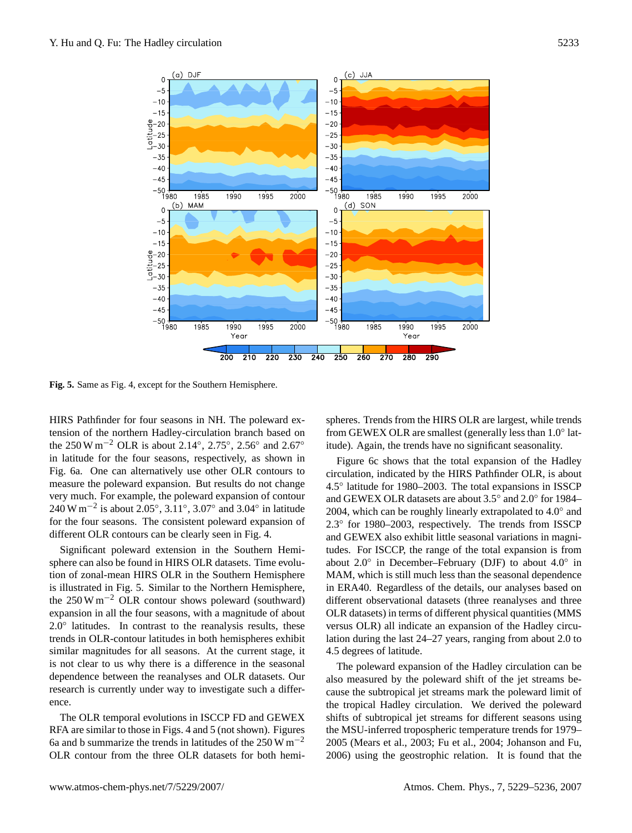

**Fig. 5.** Same as Fig. 4, except for the Southern Hemisphere.

HIRS Pathfinder for four seasons in NH. The poleward extension of the northern Hadley-circulation branch based on the 250 W m<sup>-2</sup> OLR is about 2.14°, 2.75°, 2.56° and 2.67° in latitude for the four seasons, respectively, as shown in Fig. 6a. One can alternatively use other OLR contours to measure the poleward expansion. But results do not change very much. For example, the poleward expansion of contour 240 W m<sup>-2</sup> is about 2.05°, 3.11°, 3.07° and 3.04° in latitude for the four seasons. The consistent poleward expansion of different OLR contours can be clearly seen in Fig. 4.

Significant poleward extension in the Southern Hemisphere can also be found in HIRS OLR datasets. Time evolution of zonal-mean HIRS OLR in the Southern Hemisphere is illustrated in Fig. 5. Similar to the Northern Hemisphere, the  $250 \,\mathrm{W m^{-2}}$  OLR contour shows poleward (southward) expansion in all the four seasons, with a magnitude of about  $2.0^\circ$  latitudes. In contrast to the reanalysis results, these trends in OLR-contour latitudes in both hemispheres exhibit similar magnitudes for all seasons. At the current stage, it is not clear to us why there is a difference in the seasonal dependence between the reanalyses and OLR datasets. Our research is currently under way to investigate such a difference.

The OLR temporal evolutions in ISCCP FD and GEWEX RFA are similar to those in Figs. 4 and 5 (not shown). Figures 6a and b summarize the trends in latitudes of the 250 W  $\text{m}^{-2}$ OLR contour from the three OLR datasets for both hemi-

spheres. Trends from the HIRS OLR are largest, while trends from GEWEX OLR are smallest (generally less than 1.0° latitude). Again, the trends have no significant seasonality.

Figure 6c shows that the total expansion of the Hadley circulation, indicated by the HIRS Pathfinder OLR, is about 4.5◦ latitude for 1980–2003. The total expansions in ISSCP and GEWEX OLR datasets are about 3.5◦ and 2.0◦ for 1984– 2004, which can be roughly linearly extrapolated to 4.0° and 2.3◦ for 1980–2003, respectively. The trends from ISSCP and GEWEX also exhibit little seasonal variations in magnitudes. For ISCCP, the range of the total expansion is from about 2.0◦ in December–February (DJF) to about 4.0◦ in MAM, which is still much less than the seasonal dependence in ERA40. Regardless of the details, our analyses based on different observational datasets (three reanalyses and three OLR datasets) in terms of different physical quantities (MMS versus OLR) all indicate an expansion of the Hadley circulation during the last 24–27 years, ranging from about 2.0 to 4.5 degrees of latitude.

The poleward expansion of the Hadley circulation can be also measured by the poleward shift of the jet streams because the subtropical jet streams mark the poleward limit of the tropical Hadley circulation. We derived the poleward shifts of subtropical jet streams for different seasons using the MSU-inferred tropospheric temperature trends for 1979– 2005 (Mears et al., 2003; Fu et al., 2004; Johanson and Fu, 2006) using the geostrophic relation. It is found that the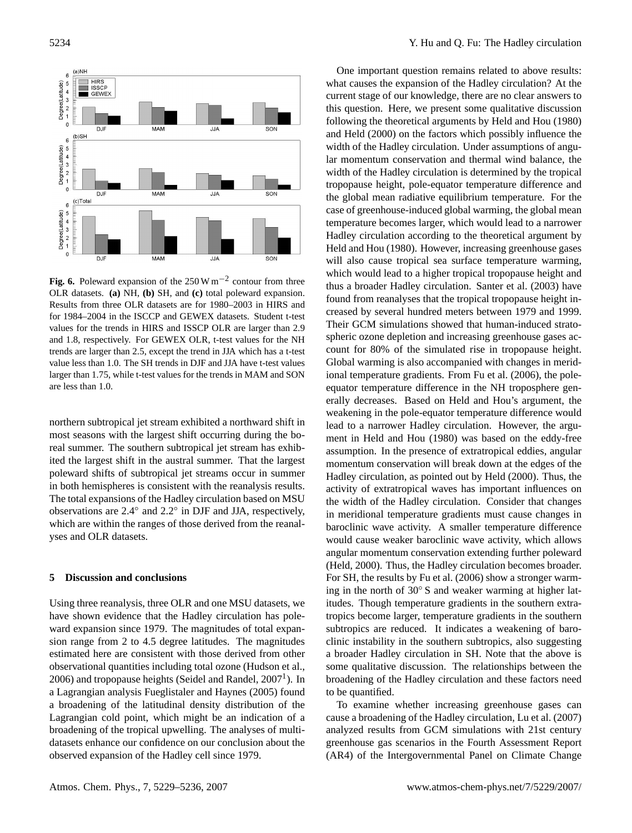

**Fig. 6.** Poleward expansion of the 250 W m−<sup>2</sup> contour from three OLR datasets. **(a)** NH, **(b)** SH, and **(c)** total poleward expansion. Results from three OLR datasets are for 1980–2003 in HIRS and for 1984–2004 in the ISCCP and GEWEX datasets. Student t-test values for the trends in HIRS and ISSCP OLR are larger than 2.9 and 1.8, respectively. For GEWEX OLR, t-test values for the NH trends are larger than 2.5, except the trend in JJA which has a t-test value less than 1.0. The SH trends in DJF and JJA have t-test values larger than 1.75, while t-test values for the trends in MAM and SON are less than 1.0.

northern subtropical jet stream exhibited a northward shift in most seasons with the largest shift occurring during the boreal summer. The southern subtropical jet stream has exhibited the largest shift in the austral summer. That the largest poleward shifts of subtropical jet streams occur in summer in both hemispheres is consistent with the reanalysis results. The total expansions of the Hadley circulation based on MSU observations are 2.4◦ and 2.2◦ in DJF and JJA, respectively, which are within the ranges of those derived from the reanalyses and OLR datasets.

## **5 Discussion and conclusions**

Using three reanalysis, three OLR and one MSU datasets, we have shown evidence that the Hadley circulation has poleward expansion since 1979. The magnitudes of total expansion range from 2 to 4.5 degree latitudes. The magnitudes estimated here are consistent with those derived from other observational quantities including total ozone (Hudson et al.,  $2006$ ) and tropopause heights (Seidel and Randel,  $2007<sup>1</sup>$  $2007<sup>1</sup>$  $2007<sup>1</sup>$ ). In a Lagrangian analysis Fueglistaler and Haynes (2005) found a broadening of the latitudinal density distribution of the Lagrangian cold point, which might be an indication of a broadening of the tropical upwelling. The analyses of multidatasets enhance our confidence on our conclusion about the observed expansion of the Hadley cell since 1979.

One important question remains related to above results: what causes the expansion of the Hadley circulation? At the current stage of our knowledge, there are no clear answers to this question. Here, we present some qualitative discussion following the theoretical arguments by Held and Hou (1980) and Held (2000) on the factors which possibly influence the width of the Hadley circulation. Under assumptions of angular momentum conservation and thermal wind balance, the width of the Hadley circulation is determined by the tropical tropopause height, pole-equator temperature difference and the global mean radiative equilibrium temperature. For the case of greenhouse-induced global warming, the global mean temperature becomes larger, which would lead to a narrower Hadley circulation according to the theoretical argument by Held and Hou (1980). However, increasing greenhouse gases will also cause tropical sea surface temperature warming, which would lead to a higher tropical tropopause height and thus a broader Hadley circulation. Santer et al. (2003) have found from reanalyses that the tropical tropopause height increased by several hundred meters between 1979 and 1999. Their GCM simulations showed that human-induced stratospheric ozone depletion and increasing greenhouse gases account for 80% of the simulated rise in tropopause height. Global warming is also accompanied with changes in meridional temperature gradients. From Fu et al. (2006), the poleequator temperature difference in the NH troposphere generally decreases. Based on Held and Hou's argument, the weakening in the pole-equator temperature difference would lead to a narrower Hadley circulation. However, the argument in Held and Hou (1980) was based on the eddy-free assumption. In the presence of extratropical eddies, angular momentum conservation will break down at the edges of the Hadley circulation, as pointed out by Held (2000). Thus, the activity of extratropical waves has important influences on the width of the Hadley circulation. Consider that changes in meridional temperature gradients must cause changes in baroclinic wave activity. A smaller temperature difference would cause weaker baroclinic wave activity, which allows angular momentum conservation extending further poleward (Held, 2000). Thus, the Hadley circulation becomes broader. For SH, the results by Fu et al. (2006) show a stronger warming in the north of 30◦ S and weaker warming at higher latitudes. Though temperature gradients in the southern extratropics become larger, temperature gradients in the southern subtropics are reduced. It indicates a weakening of baroclinic instability in the southern subtropics, also suggesting a broader Hadley circulation in SH. Note that the above is some qualitative discussion. The relationships between the broadening of the Hadley circulation and these factors need to be quantified.

To examine whether increasing greenhouse gases can cause a broadening of the Hadley circulation, Lu et al. (2007) analyzed results from GCM simulations with 21st century greenhouse gas scenarios in the Fourth Assessment Report (AR4) of the Intergovernmental Panel on Climate Change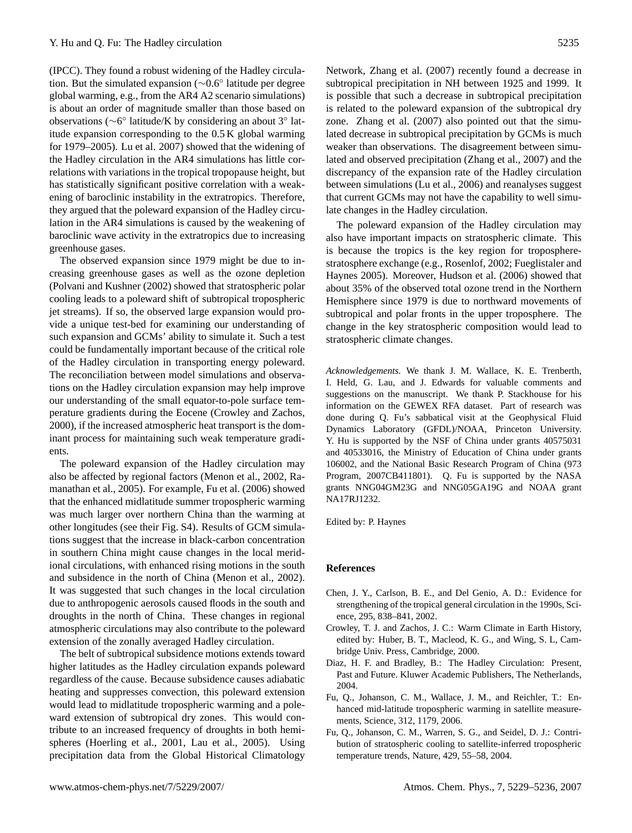(IPCC). They found a robust widening of the Hadley circulation. But the simulated expansion (∼0.6◦ latitude per degree global warming, e.g., from the AR4 A2 scenario simulations) is about an order of magnitude smaller than those based on observations (∼6 ◦ latitude/K by considering an about 3◦ latitude expansion corresponding to the 0.5 K global warming for 1979–2005). Lu et al. 2007) showed that the widening of the Hadley circulation in the AR4 simulations has little correlations with variations in the tropical tropopause height, but has statistically significant positive correlation with a weakening of baroclinic instability in the extratropics. Therefore, they argued that the poleward expansion of the Hadley circulation in the AR4 simulations is caused by the weakening of baroclinic wave activity in the extratropics due to increasing greenhouse gases.

The observed expansion since 1979 might be due to increasing greenhouse gases as well as the ozone depletion (Polvani and Kushner (2002) showed that stratospheric polar cooling leads to a poleward shift of subtropical tropospheric jet streams). If so, the observed large expansion would provide a unique test-bed for examining our understanding of such expansion and GCMs' ability to simulate it. Such a test could be fundamentally important because of the critical role of the Hadley circulation in transporting energy poleward. The reconciliation between model simulations and observations on the Hadley circulation expansion may help improve our understanding of the small equator-to-pole surface temperature gradients during the Eocene (Crowley and Zachos, 2000), if the increased atmospheric heat transport is the dominant process for maintaining such weak temperature gradients.

The poleward expansion of the Hadley circulation may also be affected by regional factors (Menon et al., 2002, Ramanathan et al., 2005). For example, Fu et al. (2006) showed that the enhanced midlatitude summer tropospheric warming was much larger over northern China than the warming at other longitudes (see their Fig. S4). Results of GCM simulations suggest that the increase in black-carbon concentration in southern China might cause changes in the local meridional circulations, with enhanced rising motions in the south and subsidence in the north of China (Menon et al., 2002). It was suggested that such changes in the local circulation due to anthropogenic aerosols caused floods in the south and droughts in the north of China. These changes in regional atmospheric circulations may also contribute to the poleward extension of the zonally averaged Hadley circulation.

The belt of subtropical subsidence motions extends toward higher latitudes as the Hadley circulation expands poleward regardless of the cause. Because subsidence causes adiabatic heating and suppresses convection, this poleward extension would lead to midlatitude tropospheric warming and a poleward extension of subtropical dry zones. This would contribute to an increased frequency of droughts in both hemispheres (Hoerling et al., 2001, Lau et al., 2005). Using precipitation data from the Global Historical Climatology Network, Zhang et al. (2007) recently found a decrease in subtropical precipitation in NH between 1925 and 1999. It is possible that such a decrease in subtropical precipitation is related to the poleward expansion of the subtropical dry zone. Zhang et al. (2007) also pointed out that the simulated decrease in subtropical precipitation by GCMs is much weaker than observations. The disagreement between simulated and observed precipitation (Zhang et al., 2007) and the discrepancy of the expansion rate of the Hadley circulation between simulations (Lu et al., 2006) and reanalyses suggest that current GCMs may not have the capability to well simulate changes in the Hadley circulation.

The poleward expansion of the Hadley circulation may also have important impacts on stratospheric climate. This is because the tropics is the key region for tropospherestratosphere exchange (e.g., Rosenlof, 2002; Fueglistaler and Haynes 2005). Moreover, Hudson et al. (2006) showed that about 35% of the observed total ozone trend in the Northern Hemisphere since 1979 is due to northward movements of subtropical and polar fronts in the upper troposphere. The change in the key stratospheric composition would lead to stratospheric climate changes.

*Acknowledgements.* We thank J. M. Wallace, K. E. Trenberth, I. Held, G. Lau, and J. Edwards for valuable comments and suggestions on the manuscript. We thank P. Stackhouse for his information on the GEWEX RFA dataset. Part of research was done during Q. Fu's sabbatical visit at the Geophysical Fluid Dynamics Laboratory (GFDL)/NOAA, Princeton University. Y. Hu is supported by the NSF of China under grants 40575031 and 40533016, the Ministry of Education of China under grants 106002, and the National Basic Research Program of China (973 Program, 2007CB411801). Q. Fu is supported by the NASA grants NNG04GM23G and NNG05GA19G and NOAA grant NA17RJ1232.

Edited by: P. Haynes

#### **References**

- Chen, J. Y., Carlson, B. E., and Del Genio, A. D.: Evidence for strengthening of the tropical general circulation in the 1990s, Science, 295, 838–841, 2002.
- Crowley, T. J. and Zachos, J. C.: Warm Climate in Earth History, edited by: Huber, B. T., Macleod, K. G., and Wing, S. L, Cambridge Univ. Press, Cambridge, 2000.
- Diaz, H. F. and Bradley, B.: The Hadley Circulation: Present, Past and Future. Kluwer Academic Publishers, The Netherlands, 2004.
- Fu, Q., Johanson, C. M., Wallace, J. M., and Reichler, T.: Enhanced mid-latitude tropospheric warming in satellite measurements, Science, 312, 1179, 2006.
- Fu, Q., Johanson, C. M., Warren, S. G., and Seidel, D. J.: Contribution of stratospheric cooling to satellite-inferred tropospheric temperature trends, Nature, 429, 55–58, 2004.